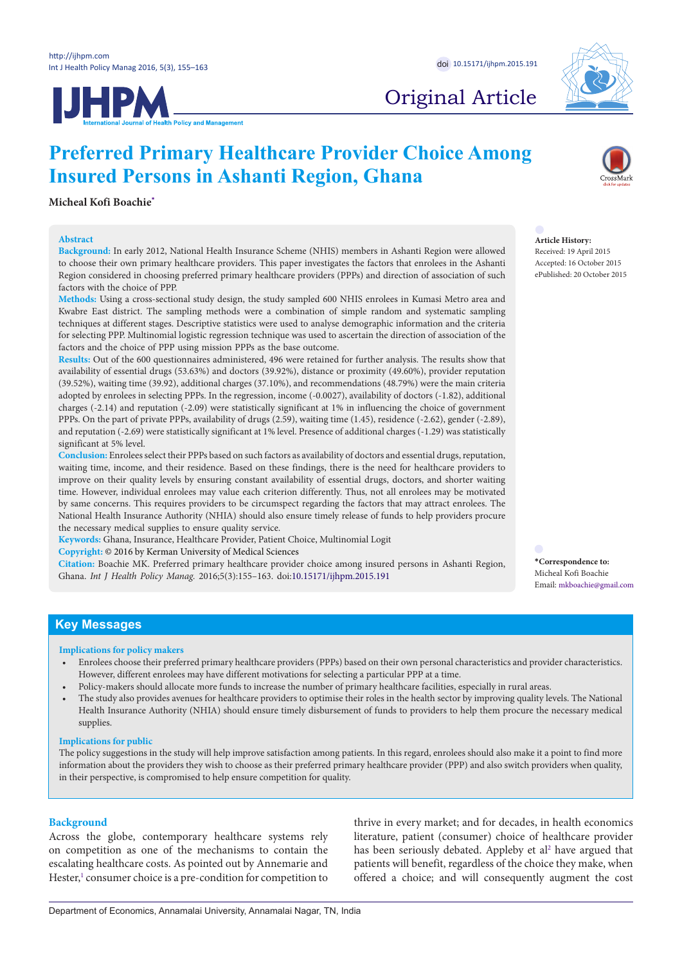**IJHPM** 



# Original Article

#### **Micheal Kofi Boachie[\\*](#page-0-0)**

#### **Abstract**

**Background:** In early 2012, National Health Insurance Scheme (NHIS) members in Ashanti Region were allowed to choose their own primary healthcare providers. This paper investigates the factors that enrolees in the Ashanti Region considered in choosing preferred primary healthcare providers (PPPs) and direction of association of such factors with the choice of PPP.

**Preferred Primary Healthcare Provider Choice Among** 

**Insured Persons in Ashanti Region, Ghana**

**Methods:** Using a cross-sectional study design, the study sampled 600 NHIS enrolees in Kumasi Metro area and Kwabre East district. The sampling methods were a combination of simple random and systematic sampling techniques at different stages. Descriptive statistics were used to analyse demographic information and the criteria for selecting PPP. Multinomial logistic regression technique was used to ascertain the direction of association of the factors and the choice of PPP using mission PPPs as the base outcome.

**Results:** Out of the 600 questionnaires administered, 496 were retained for further analysis. The results show that availability of essential drugs (53.63%) and doctors (39.92%), distance or proximity (49.60%), provider reputation (39.52%), waiting time (39.92), additional charges (37.10%), and recommendations (48.79%) were the main criteria adopted by enrolees in selecting PPPs. In the regression, income (-0.0027), availability of doctors (-1.82), additional charges (-2.14) and reputation (-2.09) were statistically significant at 1% in influencing the choice of government PPPs. On the part of private PPPs, availability of drugs (2.59), waiting time (1.45), residence (-2.62), gender (-2.89), and reputation (-2.69) were statistically significant at 1% level. Presence of additional charges (-1.29) was statistically significant at 5% level.

**Conclusion:** Enrolees select their PPPs based on such factors as availability of doctors and essential drugs, reputation, waiting time, income, and their residence. Based on these findings, there is the need for healthcare providers to improve on their quality levels by ensuring constant availability of essential drugs, doctors, and shorter waiting time. However, individual enrolees may value each criterion differently. Thus, not all enrolees may be motivated by same concerns. This requires providers to be circumspect regarding the factors that may attract enrolees. The National Health Insurance Authority (NHIA) should also ensure timely release of funds to help providers procure the necessary medical supplies to ensure quality service.

**Keywords:** Ghana, Insurance, Healthcare Provider, Patient Choice, Multinomial Logit

**Copyright:** © 2016 by Kerman University of Medical Sciences

**Citation:** Boachie MK. Preferred primary healthcare provider choice among insured persons in Ashanti Region, Ghana. *Int J Health Policy Manag.* 2016;5(3):155–163. doi:[10.15171/ijhpm.2015.191](http://dx.doi.org/10.15171/ijhpm.2015.191)

**Article History:** Received: 19 April 2015 Accepted: 16 October 2015 ePublished: 20 October 2015

<span id="page-0-0"></span>**\*Correspondence to:** Micheal Kofi Boachie Email: mkboachie@gmail.com

# **Key Messages**

#### **Implications for policy makers**

- Enrolees choose their preferred primary healthcare providers (PPPs) based on their own personal characteristics and provider characteristics. However, different enrolees may have different motivations for selecting a particular PPP at a time.
- Policy-makers should allocate more funds to increase the number of primary healthcare facilities, especially in rural areas.
- The study also provides avenues for healthcare providers to optimise their roles in the health sector by improving quality levels. The National Health Insurance Authority (NHIA) should ensure timely disbursement of funds to providers to help them procure the necessary medical supplies.

#### **Implications for public**

The policy suggestions in the study will help improve satisfaction among patients. In this regard, enrolees should also make it a point to find more information about the providers they wish to choose as their preferred primary healthcare provider (PPP) and also switch providers when quality, in their perspective, is compromised to help ensure competition for quality.

### **Background**

Across the globe, contemporary healthcare systems rely on competition as one of the mechanisms to contain the escalating healthcare costs. As pointed out by Annemarie and Hester,<sup>1</sup> consumer choice is a pre-condition for competition to

thrive in every market; and for decades, in health economics literature, patient (consumer) choice of healthcare provider has been seriously debated. Appleby et al<sup>2</sup> have argued that patients will benefit, regardless of the choice they make, when offered a choice; and will consequently augment the cost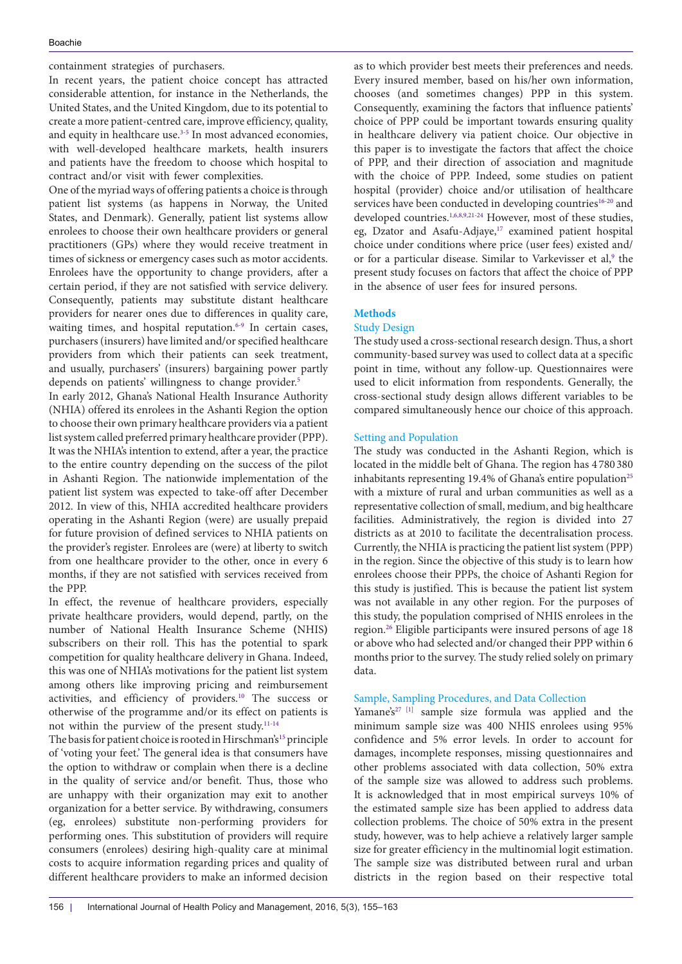containment strategies of purchasers.

In recent years, the patient choice concept has attracted considerable attention, for instance in the Netherlands, the United States, and the United Kingdom, due to its potential to create a more patient-centred care, improve efficiency, quality, and equity in healthcare use.<sup>3[-5](#page-7-3)</sup> In most advanced economies, with well-developed healthcare markets, health insurers and patients have the freedom to choose which hospital to contract and/or visit with fewer complexities.

One of the myriad ways of offering patients a choice is through patient list systems (as happens in Norway, the United States, and Denmark). Generally, patient list systems allow enrolees to choose their own healthcare providers or general practitioners (GPs) where they would receive treatment in times of sickness or emergency cases such as motor accidents. Enrolees have the opportunity to change providers, after a certain period, if they are not satisfied with service delivery. Consequently, patients may substitute distant healthcare providers for nearer ones due to differences in quality care, waiting times, and hospital reputation.<sup>[6](#page-7-4)[-9](#page-7-5)</sup> In certain cases, purchasers (insurers) have limited and/or specified healthcare providers from which their patients can seek treatment, and usually, purchasers' (insurers) bargaining power partly depends on patients' willingness to change provider.<sup>5</sup>

In early 2012, Ghana's National Health Insurance Authority (NHIA) offered its enrolees in the Ashanti Region the option to choose their own primary healthcare providers via a patient list system called preferred primary healthcare provider (PPP). It was the NHIA's intention to extend, after a year, the practice to the entire country depending on the success of the pilot in Ashanti Region. The nationwide implementation of the patient list system was expected to take-off after December 2012. In view of this, NHIA accredited healthcare providers operating in the Ashanti Region (were) are usually prepaid for future provision of defined services to NHIA patients on the provider's register. Enrolees are (were) at liberty to switch from one healthcare provider to the other, once in every 6 months, if they are not satisfied with services received from the PPP.

In effect, the revenue of healthcare providers, especially private healthcare providers, would depend, partly, on the number of National Health Insurance Scheme **(**NHIS**)** subscribers on their roll. This has the potential to spark competition for quality healthcare delivery in Ghana. Indeed, this was one of NHIA's motivations for the patient list system among others like improving pricing and reimbursement activities, and efficiency of providers.[10](#page-7-6) The success or otherwise of the programme and/or its effect on patients is not within the purview of the present study[.11-](#page-7-7)[14](#page-8-0)

The basis for patient choice is rooted in Hirschman's<sup>[15](#page-8-1)</sup> principle of 'voting your feet.' The general idea is that consumers have the option to withdraw or complain when there is a decline in the quality of service and/or benefit. Thus, those who are unhappy with their organization may exit to another organization for a better service. By withdrawing, consumers (eg, enrolees) substitute non-performing providers for performing ones. This substitution of providers will require consumers (enrolees) desiring high-quality care at minimal costs to acquire information regarding prices and quality of different healthcare providers to make an informed decision

as to which provider best meets their preferences and needs. Every insured member, based on his/her own information, chooses (and sometimes changes) PPP in this system. Consequently, examining the factors that influence patients' choice of PPP could be important towards ensuring quality in healthcare delivery via patient choice. Our objective in this paper is to investigate the factors that affect the choice of PPP, and their direction of association and magnitude with the choice of PPP. Indeed, some studies on patient hospital (provider) choice and/or utilisation of healthcare services have been conducted in developing countries<sup>16-20</sup> and developed countries.<sup>1[,6](#page-7-4),[8](#page-7-8),[9](#page-7-5),[21](#page-8-4)[-24](#page-8-5)</sup> However, most of these studies, eg, Dzator and Asafu-Adjaye,<sup>[17](#page-8-6)</sup> examined patient hospital choice under conditions where price (user fees) existed and/ or for a particular disease. Similar to Varkevisser et al,<sup>[9](#page-7-5)</sup> the present study focuses on factors that affect the choice of PPP in the absence of user fees for insured persons.

# **Methods**

# Study Design

The study used a cross-sectional research design. Thus, a short community-based survey was used to collect data at a specific point in time, without any follow-up. Questionnaires were used to elicit information from respondents. Generally, the cross-sectional study design allows different variables to be compared simultaneously hence our choice of this approach.

# Setting and Population

The study was conducted in the Ashanti Region, which is located in the middle belt of Ghana. The region has 4 780 380 inhabitants representing 19.4% of Ghana's entire population<sup>25</sup> with a mixture of rural and urban communities as well as a representative collection of small, medium, and big healthcare facilities. Administratively, the region is divided into 27 districts as at 2010 to facilitate the decentralisation process. Currently, the NHIA is practicing the patient list system (PPP) in the region. Since the objective of this study is to learn how enrolees choose their PPPs, the choice of Ashanti Region for this study is justified. This is because the patient list system was not available in any other region. For the purposes of this study, the population comprised of NHIS enrolees in the region.[26](#page-8-8) Eligible participants were insured persons of age 18 or above who had selected and/or changed their PPP within 6 months prior to the survey. The study relied solely on primary data.

### Sample, Sampling Procedures, and Data Collection

Yamane's<sup>[27](#page-8-9) [\[1\]](#page-7-9)</sup> sample size formula was applied and the minimum sample size was 400 NHIS enrolees using 95% confidence and 5% error levels. In order to account for damages, incomplete responses, missing questionnaires and other problems associated with data collection, 50% extra of the sample size was allowed to address such problems. It is acknowledged that in most empirical surveys 10% of the estimated sample size has been applied to address data collection problems. The choice of 50% extra in the present study, however, was to help achieve a relatively larger sample size for greater efficiency in the multinomial logit estimation. The sample size was distributed between rural and urban districts in the region based on their respective total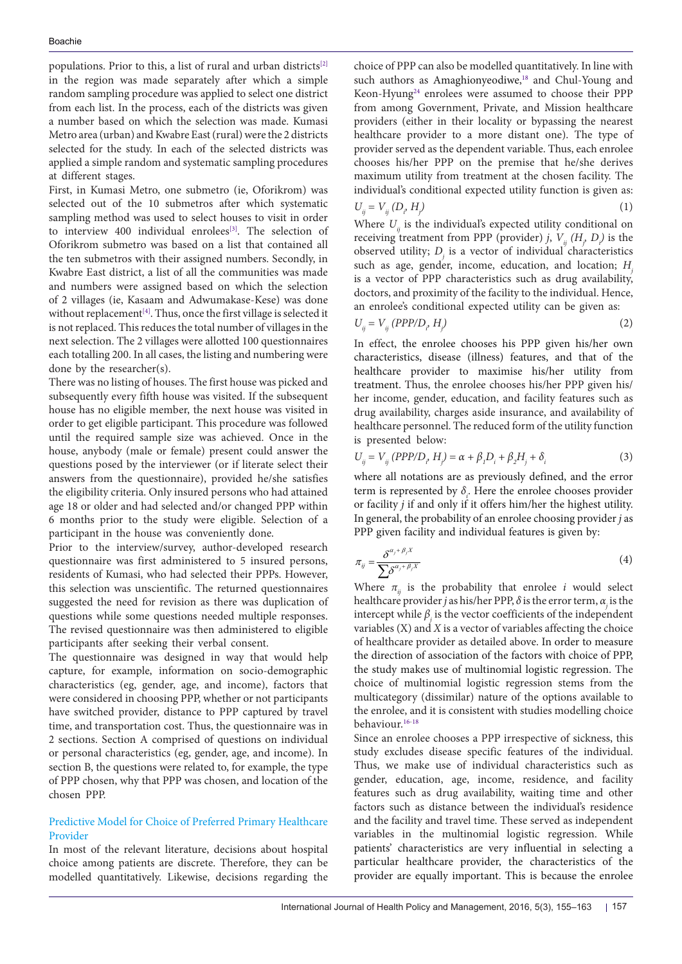populations. Prior to this, a list of rural and urban districts<sup>[2]</sup> in the region was made separately after which a simple random sampling procedure was applied to select one district from each list. In the process, each of the districts was given a number based on which the selection was made. Kumasi Metro area (urban) and Kwabre East (rural) were the 2 districts selected for the study. In each of the selected districts was applied a simple random and systematic sampling procedures at different stages.

First, in Kumasi Metro, one submetro (ie, Oforikrom) was selected out of the 10 submetros after which systematic sampling method was used to select houses to visit in order to interview 400 individual enrolees<sup>[3]</sup>. The selection of Oforikrom submetro was based on a list that contained all the ten submetros with their assigned numbers. Secondly, in Kwabre East district, a list of all the communities was made and numbers were assigned based on which the selection of 2 villages (ie, Kasaam and Adwumakase-Kese) was done without replacement<sup>[4]</sup>. Thus, once the first village is selected it is not replaced. This reduces the total number of villages in the next selection. The 2 villages were allotted 100 questionnaires each totalling 200. In all cases, the listing and numbering were done by the researcher(s).

There was no listing of houses. The first house was picked and subsequently every fifth house was visited. If the subsequent house has no eligible member, the next house was visited in order to get eligible participant. This procedure was followed until the required sample size was achieved. Once in the house, anybody (male or female) present could answer the questions posed by the interviewer (or if literate select their answers from the questionnaire), provided he/she satisfies the eligibility criteria. Only insured persons who had attained age 18 or older and had selected and/or changed PPP within 6 months prior to the study were eligible. Selection of a participant in the house was conveniently done.

Prior to the interview/survey, author-developed research questionnaire was first administered to 5 insured persons, residents of Kumasi, who had selected their PPPs. However, this selection was unscientific. The returned questionnaires suggested the need for revision as there was duplication of questions while some questions needed multiple responses. The revised questionnaire was then administered to eligible participants after seeking their verbal consent.

The questionnaire was designed in way that would help capture, for example, information on socio-demographic characteristics (eg, gender, age, and income), factors that were considered in choosing PPP, whether or not participants have switched provider, distance to PPP captured by travel time, and transportation cost. Thus, the questionnaire was in 2 sections. Section A comprised of questions on individual or personal characteristics (eg, gender, age, and income). In section B, the questions were related to, for example, the type of PPP chosen, why that PPP was chosen, and location of the chosen PPP.

# Predictive Model for Choice of Preferred Primary Healthcare Provider

In most of the relevant literature, decisions about hospital choice among patients are discrete. Therefore, they can be modelled quantitatively. Likewise, decisions regarding the choice of PPP can also be modelled quantitatively. In line with such authors as Amaghionyeodiwe, [18](#page-8-10) and Chul-Young and Keon-Hyung<sup>24</sup> enrolees were assumed to choose their PPP from among Government, Private, and Mission healthcare providers (either in their locality or bypassing the nearest healthcare provider to a more distant one). The type of provider served as the dependent variable. Thus, each enrolee chooses his/her PPP on the premise that he/she derives maximum utility from treatment at the chosen facility. The individual's conditional expected utility function is given as:  $U_{ij} = V_{ij} (D_i, H_j)$ *)* (1)

Where  $U_{ij}$  is the individual's expected utility conditional on receiving treatment from PPP (provider) *j*,  $V_{ij}$  ( $H_j$ ,  $D_j$ ) is the observed utility;  $D_j$  is a vector of individual characteristics such as age, gender, income, education, and location; *H*<sub>i</sub> is a vector of PPP characteristics such as drug availability, doctors, and proximity of the facility to the individual. Hence, an enrolee's conditional expected utility can be given as:

$$
U_{ij} = V_{ij} (PPP/D_{\rho} H_j)
$$
 (2)

In effect, the enrolee chooses his PPP given his/her own characteristics, disease (illness) features, and that of the healthcare provider to maximise his/her utility from treatment. Thus, the enrolee chooses his/her PPP given his/ her income, gender, education, and facility features such as drug availability, charges aside insurance, and availability of healthcare personnel. The reduced form of the utility function is presented below:

$$
U_{ij} = V_{ij} (PPP/D_{\rho} H_j) = \alpha + \beta_1 D_i + \beta_2 H_j + \delta_i
$$
 (3)

where all notations are as previously defined, and the error term is represented by  $\delta_i$ . Here the enrolee chooses provider or facility *j* if and only if it offers him/her the highest utility. In general, the probability of an enrolee choosing provider *j* as PPP given facility and individual features is given by:

$$
\pi_{ij} = \frac{\delta^{\alpha_j + \beta_j X}}{\sum \delta^{\alpha_j + \beta_j X}}
$$
\n(4)

Where  $\pi$ <sub>*i*</sub> is the probability that enrolee *i* would select healthcare provider *j* as his/her PPP, *δ* is the error term, *αj* is the intercept while  $\beta$  is the vector coefficients of the independent variables (X) and *X* is a vector of variables affecting the choice of healthcare provider as detailed above. In order to measure the direction of association of the factors with choice of PPP, the study makes use of multinomial logistic regression. The choice of multinomial logistic regression stems from the multicategory (dissimilar) nature of the options available to the enrolee, and it is consistent with studies modelling choice behaviour.[16-](#page-8-2)[18](#page-8-10)

Since an enrolee chooses a PPP irrespective of sickness, this study excludes disease specific features of the individual. Thus, we make use of individual characteristics such as gender, education, age, income, residence, and facility features such as drug availability, waiting time and other factors such as distance between the individual's residence and the facility and travel time. These served as independent variables in the multinomial logistic regression. While patients' characteristics are very influential in selecting a particular healthcare provider, the characteristics of the provider are equally important. This is because the enrolee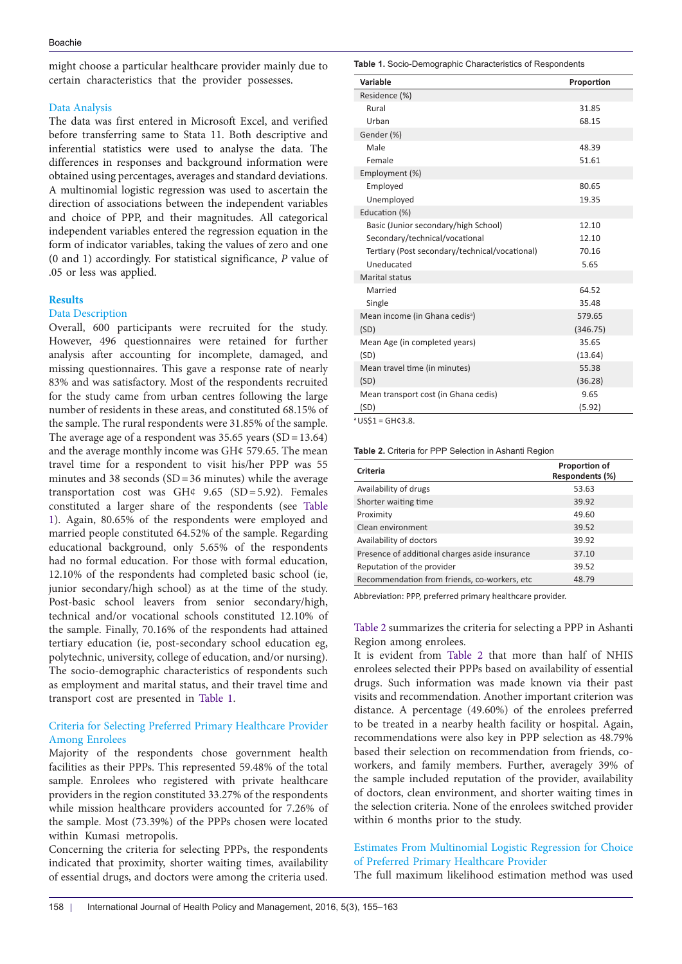might choose a particular healthcare provider mainly due to certain characteristics that the provider possesses.

# Data Analysis

The data was first entered in Microsoft Excel, and verified before transferring same to Stata 11. Both descriptive and inferential statistics were used to analyse the data. The differences in responses and background information were obtained using percentages, averages and standard deviations. A multinomial logistic regression was used to ascertain the direction of associations between the independent variables and choice of PPP, and their magnitudes. All categorical independent variables entered the regression equation in the form of indicator variables, taking the values of zero and one (0 and 1) accordingly. For statistical significance, *P* value of .05 or less was applied.

# **Results**

### Data Description

Overall, 600 participants were recruited for the study. However, 496 questionnaires were retained for further analysis after accounting for incomplete, damaged, and missing questionnaires. This gave a response rate of nearly 83% and was satisfactory. Most of the respondents recruited for the study came from urban centres following the large number of residents in these areas, and constituted 68.15% of the sample. The rural respondents were 31.85% of the sample. The average age of a respondent was  $35.65$  years  $(SD=13.64)$ and the average monthly income was GH¢ 579.65. The mean travel time for a respondent to visit his/her PPP was 55 minutes and 38 seconds  $(SD=36 \text{ minutes})$  while the average transportation cost was GH¢ 9.65 (SD=5.92). Females constituted a larger share of the respondents (see [Table](#page-3-0) [1](#page-3-0)). Again, 80.65% of the respondents were employed and married people constituted 64.52% of the sample. Regarding educational background, only 5.65% of the respondents had no formal education. For those with formal education, 12.10% of the respondents had completed basic school (ie, junior secondary/high school) as at the time of the study. Post-basic school leavers from senior secondary/high, technical and/or vocational schools constituted 12.10% of the sample. Finally, 70.16% of the respondents had attained tertiary education (ie, post-secondary school education eg, polytechnic, university, college of education, and/or nursing). The socio-demographic characteristics of respondents such as employment and marital status, and their travel time and transport cost are presented in [Table 1](#page-3-0).

# Criteria for Selecting Preferred Primary Healthcare Provider Among Enrolees

Majority of the respondents chose government health facilities as their PPPs. This represented 59.48% of the total sample. Enrolees who registered with private healthcare providers in the region constituted 33.27% of the respondents while mission healthcare providers accounted for 7.26% of the sample. Most (73.39%) of the PPPs chosen were located within Kumasi metropolis.

Concerning the criteria for selecting PPPs, the respondents indicated that proximity, shorter waiting times, availability of essential drugs, and doctors were among the criteria used.

#### <span id="page-3-0"></span>**Table 1.** Socio-Demographic Characteristics of Respondents

| Variable                                       | Proportion |
|------------------------------------------------|------------|
| Residence (%)                                  |            |
| Rural                                          | 31.85      |
| Urban                                          | 68.15      |
| Gender (%)                                     |            |
| Male                                           | 48.39      |
| Female                                         | 51.61      |
| Employment (%)                                 |            |
| Employed                                       | 80.65      |
| Unemployed                                     | 19.35      |
| Education (%)                                  |            |
| Basic (Junior secondary/high School)           | 12.10      |
| Secondary/technical/vocational                 | 12.10      |
| Tertiary (Post secondary/technical/vocational) | 70.16      |
| Uneducated                                     | 5.65       |
| <b>Marital status</b>                          |            |
| Married                                        | 64.52      |
| Single                                         | 35.48      |
| Mean income (in Ghana cedis <sup>a</sup> )     | 579.65     |
| (SD)                                           | (346.75)   |
| Mean Age (in completed years)                  | 35.65      |
| (SD)                                           | (13.64)    |
| Mean travel time (in minutes)                  | 55.38      |
| (SD)                                           | (36.28)    |
| Mean transport cost (in Ghana cedis)           | 9.65       |
| (SD)                                           | (5.92)     |

a US\$1 = GH¢3.8.

<span id="page-3-1"></span>**Table 2.** Criteria for PPP Selection in Ashanti Region

| Criteria                                       | Proportion of<br>Respondents (%) |
|------------------------------------------------|----------------------------------|
| Availability of drugs                          | 53.63                            |
| Shorter waiting time                           | 39.92                            |
| Proximity                                      | 49.60                            |
| Clean environment                              | 39.52                            |
| Availability of doctors                        | 39.92                            |
| Presence of additional charges aside insurance | 37.10                            |
| Reputation of the provider                     | 39.52                            |
| Recommendation from friends, co-workers, etc   | 48.79                            |

Abbreviation: PPP, preferred primary healthcare provider.

# [Table 2](#page-3-1) summarizes the criteria for selecting a PPP in Ashanti Region among enrolees.

It is evident from [Table 2](#page-3-1) that more than half of NHIS enrolees selected their PPPs based on availability of essential drugs. Such information was made known via their past visits and recommendation. Another important criterion was distance. A percentage (49.60%) of the enrolees preferred to be treated in a nearby health facility or hospital. Again, recommendations were also key in PPP selection as 48.79% based their selection on recommendation from friends, coworkers, and family members. Further, averagely 39% of the sample included reputation of the provider, availability of doctors, clean environment, and shorter waiting times in the selection criteria. None of the enrolees switched provider within 6 months prior to the study.

Estimates From Multinomial Logistic Regression for Choice of Preferred Primary Healthcare Provider

The full maximum likelihood estimation method was used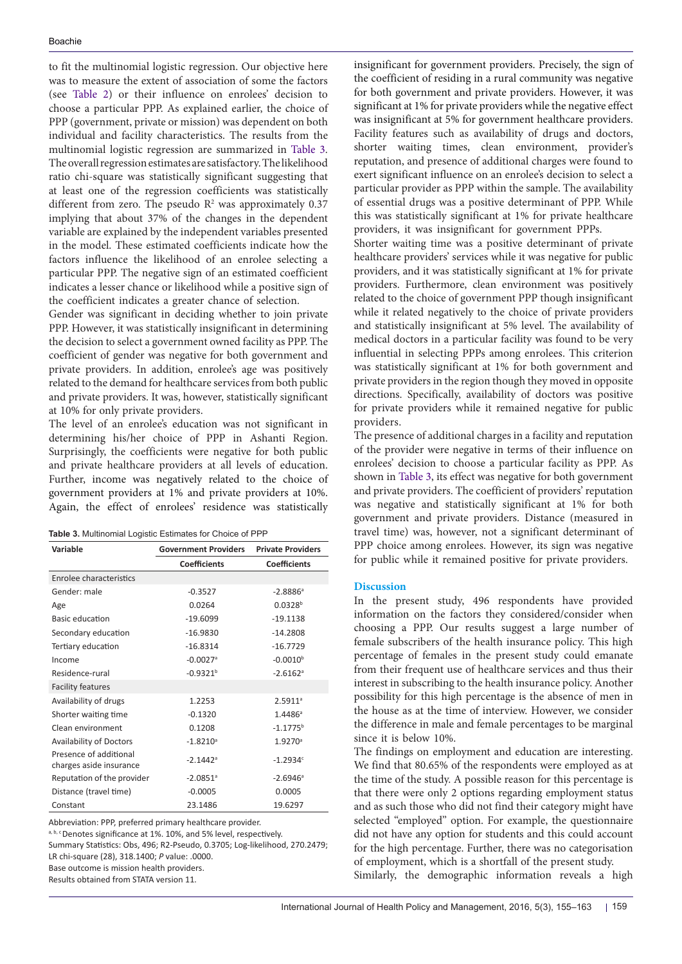to fit the multinomial logistic regression. Our objective here was to measure the extent of association of some the factors (see [Table 2\)](#page-3-1) or their influence on enrolees' decision to choose a particular PPP. As explained earlier, the choice of PPP (government, private or mission) was dependent on both individual and facility characteristics. The results from the multinomial logistic regression are summarized in [Table 3.](#page-4-0) The overall regression estimates are satisfactory. The likelihood ratio chi-square was statistically significant suggesting that at least one of the regression coefficients was statistically different from zero. The pseudo  $\mathbb{R}^2$  was approximately 0.37 implying that about 37% of the changes in the dependent variable are explained by the independent variables presented in the model. These estimated coefficients indicate how the factors influence the likelihood of an enrolee selecting a particular PPP. The negative sign of an estimated coefficient indicates a lesser chance or likelihood while a positive sign of the coefficient indicates a greater chance of selection.

Gender was significant in deciding whether to join private PPP. However, it was statistically insignificant in determining the decision to select a government owned facility as PPP. The coefficient of gender was negative for both government and private providers. In addition, enrolee's age was positively related to the demand for healthcare services from both public and private providers. It was, however, statistically significant at 10% for only private providers.

The level of an enrolee's education was not significant in determining his/her choice of PPP in Ashanti Region. Surprisingly, the coefficients were negative for both public and private healthcare providers at all levels of education. Further, income was negatively related to the choice of government providers at 1% and private providers at 10%. Again, the effect of enrolees' residence was statistically

<span id="page-4-0"></span>

| Variable                                          | <b>Government Providers</b> | <b>Private Providers</b> |
|---------------------------------------------------|-----------------------------|--------------------------|
|                                                   | <b>Coefficients</b>         | <b>Coefficients</b>      |
| Enrolee characteristics                           |                             |                          |
| Gender: male                                      | $-0.3527$                   | $-2.8886$ <sup>a</sup>   |
| Age                                               | 0.0264                      | $0.0328^{b}$             |
| Basic education                                   | $-19.6099$                  | $-19.1138$               |
| Secondary education                               | $-16.9830$                  | $-14.2808$               |
| Tertiary education                                | $-16.8314$                  | $-16.7729$               |
| Income                                            | $-0.0027$ <sup>a</sup>      | $-0.0010^{b}$            |
| Residence-rural                                   | $-0.9321^{b}$               | $-2.6162$ <sup>a</sup>   |
| <b>Facility features</b>                          |                             |                          |
| Availability of drugs                             | 1.2253                      | 2.5911 <sup>a</sup>      |
| Shorter waiting time                              | $-0.1320$                   | $1.4486^{\circ}$         |
| Clean environment                                 | 0.1208                      | $-1.1775^{b}$            |
| <b>Availability of Doctors</b>                    | $-1.8210$ <sup>a</sup>      | $1.9270$ <sup>a</sup>    |
| Presence of additional<br>charges aside insurance | $-2.1442$ <sup>a</sup>      | $-1.2934c$               |
| Reputation of the provider                        | $-2.0851$ <sup>a</sup>      | $-2.6946$ <sup>a</sup>   |
| Distance (travel time)                            | $-0.0005$                   | 0.0005                   |
| Constant                                          | 23.1486                     | 19.6297                  |

Abbreviation: PPP, preferred primary healthcare provider.

a, b, c<sup>B</sup> Denotes significance at 1%. 10%, and 5% level, respectively.

Summary Statistics: Obs, 496; R2-Pseudo, 0.3705; Log-likelihood, 270.2479; LR chi-square (28), 318.1400; *P* value: .0000. Base outcome is mission health providers.

Results obtained from STATA version 11.

insignificant for government providers. Precisely, the sign of the coefficient of residing in a rural community was negative for both government and private providers. However, it was significant at 1% for private providers while the negative effect was insignificant at 5% for government healthcare providers. Facility features such as availability of drugs and doctors, shorter waiting times, clean environment, provider's reputation, and presence of additional charges were found to exert significant influence on an enrolee's decision to select a particular provider as PPP within the sample. The availability of essential drugs was a positive determinant of PPP. While this was statistically significant at 1% for private healthcare providers, it was insignificant for government PPPs.

Shorter waiting time was a positive determinant of private healthcare providers' services while it was negative for public providers, and it was statistically significant at 1% for private providers. Furthermore, clean environment was positively related to the choice of government PPP though insignificant while it related negatively to the choice of private providers and statistically insignificant at 5% level. The availability of medical doctors in a particular facility was found to be very influential in selecting PPPs among enrolees. This criterion was statistically significant at 1% for both government and private providers in the region though they moved in opposite directions. Specifically, availability of doctors was positive for private providers while it remained negative for public providers.

The presence of additional charges in a facility and reputation of the provider were negative in terms of their influence on enrolees' decision to choose a particular facility as PPP. As shown in [Table 3,](#page-4-0) its effect was negative for both government and private providers. The coefficient of providers' reputation was negative and statistically significant at 1% for both government and private providers. Distance (measured in travel time) was, however, not a significant determinant of PPP choice among enrolees. However, its sign was negative for public while it remained positive for private providers.

#### **Discussion**

In the present study, 496 respondents have provided information on the factors they considered/consider when choosing a PPP. Our results suggest a large number of female subscribers of the health insurance policy. This high percentage of females in the present study could emanate from their frequent use of healthcare services and thus their interest in subscribing to the health insurance policy. Another possibility for this high percentage is the absence of men in the house as at the time of interview. However, we consider the difference in male and female percentages to be marginal since it is below 10%.

The findings on employment and education are interesting. We find that 80.65% of the respondents were employed as at the time of the study. A possible reason for this percentage is that there were only 2 options regarding employment status and as such those who did not find their category might have selected "employed" option. For example, the questionnaire did not have any option for students and this could account for the high percentage. Further, there was no categorisation of employment, which is a shortfall of the present study.

Similarly, the demographic information reveals a high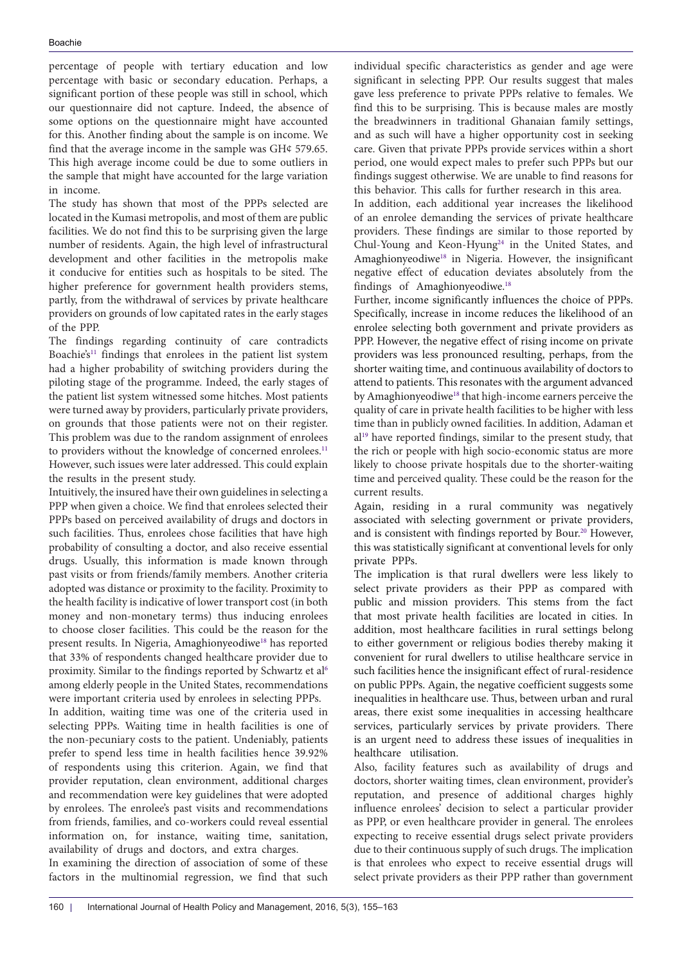percentage of people with tertiary education and low percentage with basic or secondary education. Perhaps, a significant portion of these people was still in school, which our questionnaire did not capture. Indeed, the absence of some options on the questionnaire might have accounted for this. Another finding about the sample is on income. We find that the average income in the sample was GH¢ 579.65. This high average income could be due to some outliers in the sample that might have accounted for the large variation in income.

The study has shown that most of the PPPs selected are located in the Kumasi metropolis, and most of them are public facilities. We do not find this to be surprising given the large number of residents. Again, the high level of infrastructural development and other facilities in the metropolis make it conducive for entities such as hospitals to be sited. The higher preference for government health providers stems, partly, from the withdrawal of services by private healthcare providers on grounds of low capitated rates in the early stages of the PPP.

The findings regarding continuity of care contradicts Boachie's<sup>11</sup> findings that enrolees in the patient list system had a higher probability of switching providers during the piloting stage of the programme. Indeed, the early stages of the patient list system witnessed some hitches. Most patients were turned away by providers, particularly private providers, on grounds that those patients were not on their register. This problem was due to the random assignment of enrolees to providers without the knowledge of concerned enrolees.<sup>[11](#page-7-7)</sup> However, such issues were later addressed. This could explain the results in the present study.

Intuitively, the insured have their own guidelines in selecting a PPP when given a choice. We find that enrolees selected their PPPs based on perceived availability of drugs and doctors in such facilities. Thus, enrolees chose facilities that have high probability of consulting a doctor, and also receive essential drugs. Usually, this information is made known through past visits or from friends/family members. Another criteria adopted was distance or proximity to the facility. Proximity to the health facility is indicative of lower transport cost (in both money and non-monetary terms) thus inducing enrolees to choose closer facilities. This could be the reason for the present results. In Nigeria, Amaghionyeodiwe<sup>18</sup> has reported that 33% of respondents changed healthcare provider due to proximity. Similar to the findings reported by Schwartz et al<sup>[6](#page-7-4)</sup> among elderly people in the United States, recommendations were important criteria used by enrolees in selecting PPPs.

In addition, waiting time was one of the criteria used in selecting PPPs. Waiting time in health facilities is one of the non-pecuniary costs to the patient. Undeniably, patients prefer to spend less time in health facilities hence 39.92% of respondents using this criterion. Again, we find that provider reputation, clean environment, additional charges and recommendation were key guidelines that were adopted by enrolees. The enrolee's past visits and recommendations from friends, families, and co-workers could reveal essential information on, for instance, waiting time, sanitation, availability of drugs and doctors, and extra charges.

In examining the direction of association of some of these factors in the multinomial regression, we find that such

individual specific characteristics as gender and age were significant in selecting PPP. Our results suggest that males gave less preference to private PPPs relative to females. We find this to be surprising. This is because males are mostly the breadwinners in traditional Ghanaian family settings, and as such will have a higher opportunity cost in seeking care. Given that private PPPs provide services within a short period, one would expect males to prefer such PPPs but our findings suggest otherwise. We are unable to find reasons for this behavior. This calls for further research in this area.

In addition, each additional year increases the likelihood of an enrolee demanding the services of private healthcare providers. These findings are similar to those reported by Chul-Young and Keon-Hyung<sup>[24](#page-8-5)</sup> in the United States, and Amaghionyeodiwe<sup>18</sup> in Nigeria. However, the insignificant negative effect of education deviates absolutely from the findings of Amaghionyeodiwe. [18](#page-8-10)

Further, income significantly influences the choice of PPPs. Specifically, increase in income reduces the likelihood of an enrolee selecting both government and private providers as PPP. However, the negative effect of rising income on private providers was less pronounced resulting, perhaps, from the shorter waiting time, and continuous availability of doctors to attend to patients. This resonates with the argument advanced by Amaghionyeodiwe<sup>[18](#page-8-10)</sup> that high-income earners perceive the quality of care in private health facilities to be higher with less time than in publicly owned facilities. In addition, Adaman et al[19](#page-8-11) have reported findings, similar to the present study, that the rich or people with high socio-economic status are more likely to choose private hospitals due to the shorter-waiting time and perceived quality. These could be the reason for the current results.

Again, residing in a rural community was negatively associated with selecting government or private providers, and is consistent with findings reported by Bour.<sup>[20](#page-8-3)</sup> However, this was statistically significant at conventional levels for only private PPPs.

The implication is that rural dwellers were less likely to select private providers as their PPP as compared with public and mission providers. This stems from the fact that most private health facilities are located in cities. In addition, most healthcare facilities in rural settings belong to either government or religious bodies thereby making it convenient for rural dwellers to utilise healthcare service in such facilities hence the insignificant effect of rural-residence on public PPPs. Again, the negative coefficient suggests some inequalities in healthcare use. Thus, between urban and rural areas, there exist some inequalities in accessing healthcare services, particularly services by private providers. There is an urgent need to address these issues of inequalities in healthcare utilisation.

Also, facility features such as availability of drugs and doctors, shorter waiting times, clean environment, provider's reputation, and presence of additional charges highly influence enrolees' decision to select a particular provider as PPP, or even healthcare provider in general. The enrolees expecting to receive essential drugs select private providers due to their continuous supply of such drugs. The implication is that enrolees who expect to receive essential drugs will select private providers as their PPP rather than government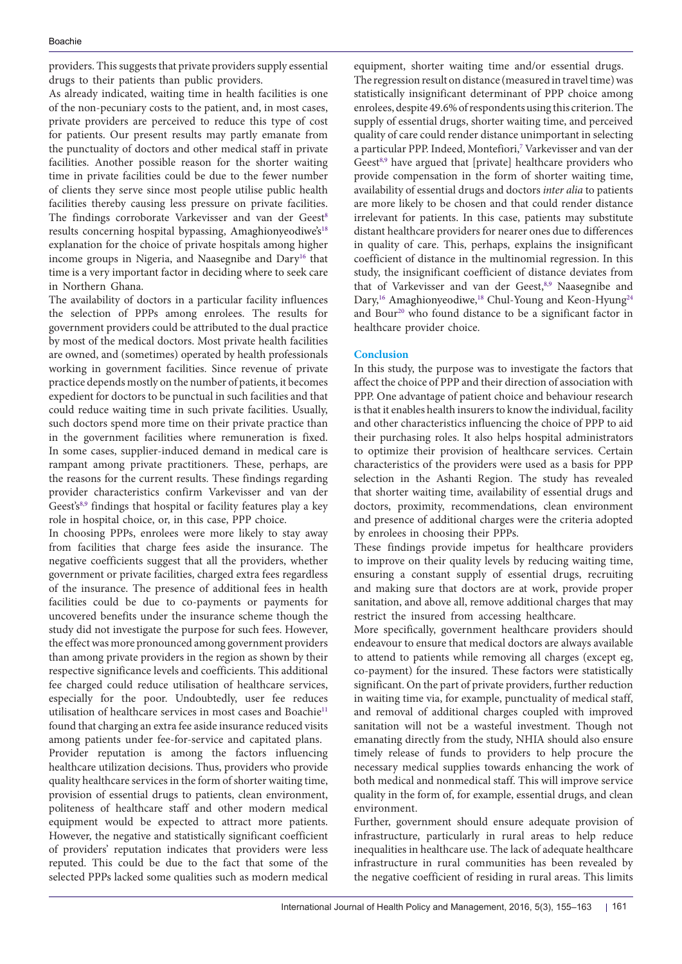providers. This suggests that private providers supply essential drugs to their patients than public providers.

As already indicated, waiting time in health facilities is one of the non-pecuniary costs to the patient, and, in most cases, private providers are perceived to reduce this type of cost for patients. Our present results may partly emanate from the punctuality of doctors and other medical staff in private facilities. Another possible reason for the shorter waiting time in private facilities could be due to the fewer number of clients they serve since most people utilise public health facilities thereby causing less pressure on private facilities. The findings corroborate Varkevisser and van der Geest<sup>[8](#page-7-8)</sup> results concerning hospital bypassing, Amaghionyeodiwe's<sup>[18](#page-8-10)</sup> explanation for the choice of private hospitals among higher income groups in Nigeria, and Naasegnibe and Dary<sup>16</sup> that time is a very important factor in deciding where to seek care in Northern Ghana.

The availability of doctors in a particular facility influences the selection of PPPs among enrolees. The results for government providers could be attributed to the dual practice by most of the medical doctors. Most private health facilities are owned, and (sometimes) operated by health professionals working in government facilities. Since revenue of private practice depends mostly on the number of patients, it becomes expedient for doctors to be punctual in such facilities and that could reduce waiting time in such private facilities. Usually, such doctors spend more time on their private practice than in the government facilities where remuneration is fixed. In some cases, supplier-induced demand in medical care is rampant among private practitioners. These, perhaps, are the reasons for the current results. These findings regarding provider characteristics confirm Varkevisser and van der Geest's<sup>[8](#page-7-8),[9](#page-7-5)</sup> findings that hospital or facility features play a key role in hospital choice, or, in this case, PPP choice.

In choosing PPPs, enrolees were more likely to stay away from facilities that charge fees aside the insurance. The negative coefficients suggest that all the providers, whether government or private facilities, charged extra fees regardless of the insurance. The presence of additional fees in health facilities could be due to co-payments or payments for uncovered benefits under the insurance scheme though the study did not investigate the purpose for such fees. However, the effect was more pronounced among government providers than among private providers in the region as shown by their respective significance levels and coefficients. This additional fee charged could reduce utilisation of healthcare services, especially for the poor. Undoubtedly, user fee reduces utilisation of healthcare services in most cases and Boachie<sup>[11](#page-7-7)</sup> found that charging an extra fee aside insurance reduced visits among patients under fee-for-service and capitated plans.

Provider reputation is among the factors influencing healthcare utilization decisions. Thus, providers who provide quality healthcare services in the form of shorter waiting time, provision of essential drugs to patients, clean environment, politeness of healthcare staff and other modern medical equipment would be expected to attract more patients. However, the negative and statistically significant coefficient of providers' reputation indicates that providers were less reputed. This could be due to the fact that some of the selected PPPs lacked some qualities such as modern medical

equipment, shorter waiting time and/or essential drugs. The regression result on distance (measured in travel time) was statistically insignificant determinant of PPP choice among enrolees, despite 49.6% of respondents using this criterion. The supply of essential drugs, shorter waiting time, and perceived quality of care could render distance unimportant in selecting a particular PPP. Indeed, Montefiori,<sup>[7](#page-7-13)</sup> Varkevisser and van der Geest<sup>8,[9](#page-7-5)</sup> have argued that [private] healthcare providers who provide compensation in the form of shorter waiting time, availability of essential drugs and doctors *inter alia* to patients are more likely to be chosen and that could render distance irrelevant for patients. In this case, patients may substitute distant healthcare providers for nearer ones due to differences in quality of care. This, perhaps, explains the insignificant coefficient of distance in the multinomial regression. In this study, the insignificant coefficient of distance deviates from that of Varkevisser and van der Geest,<sup>[8,](#page-7-8)[9](#page-7-5)</sup> Naasegnibe and Dary,<sup>[16](#page-8-2)</sup> Amaghionyeodiwe,<sup>[18](#page-8-10)</sup> Chul-Young and Keon-Hyung<sup>24</sup> and Bour<sup>20</sup> who found distance to be a significant factor in healthcare provider choice.

# **Conclusion**

In this study, the purpose was to investigate the factors that affect the choice of PPP and their direction of association with PPP. One advantage of patient choice and behaviour research is that it enables health insurers to know the individual, facility and other characteristics influencing the choice of PPP to aid their purchasing roles. It also helps hospital administrators to optimize their provision of healthcare services. Certain characteristics of the providers were used as a basis for PPP selection in the Ashanti Region. The study has revealed that shorter waiting time, availability of essential drugs and doctors, proximity, recommendations, clean environment and presence of additional charges were the criteria adopted by enrolees in choosing their PPPs.

These findings provide impetus for healthcare providers to improve on their quality levels by reducing waiting time, ensuring a constant supply of essential drugs, recruiting and making sure that doctors are at work, provide proper sanitation, and above all, remove additional charges that may restrict the insured from accessing healthcare.

More specifically, government healthcare providers should endeavour to ensure that medical doctors are always available to attend to patients while removing all charges (except eg, co-payment) for the insured. These factors were statistically significant. On the part of private providers, further reduction in waiting time via, for example, punctuality of medical staff, and removal of additional charges coupled with improved sanitation will not be a wasteful investment. Though not emanating directly from the study, NHIA should also ensure timely release of funds to providers to help procure the necessary medical supplies towards enhancing the work of both medical and nonmedical staff. This will improve service quality in the form of, for example, essential drugs, and clean environment.

Further, government should ensure adequate provision of infrastructure, particularly in rural areas to help reduce inequalities in healthcare use. The lack of adequate healthcare infrastructure in rural communities has been revealed by the negative coefficient of residing in rural areas. This limits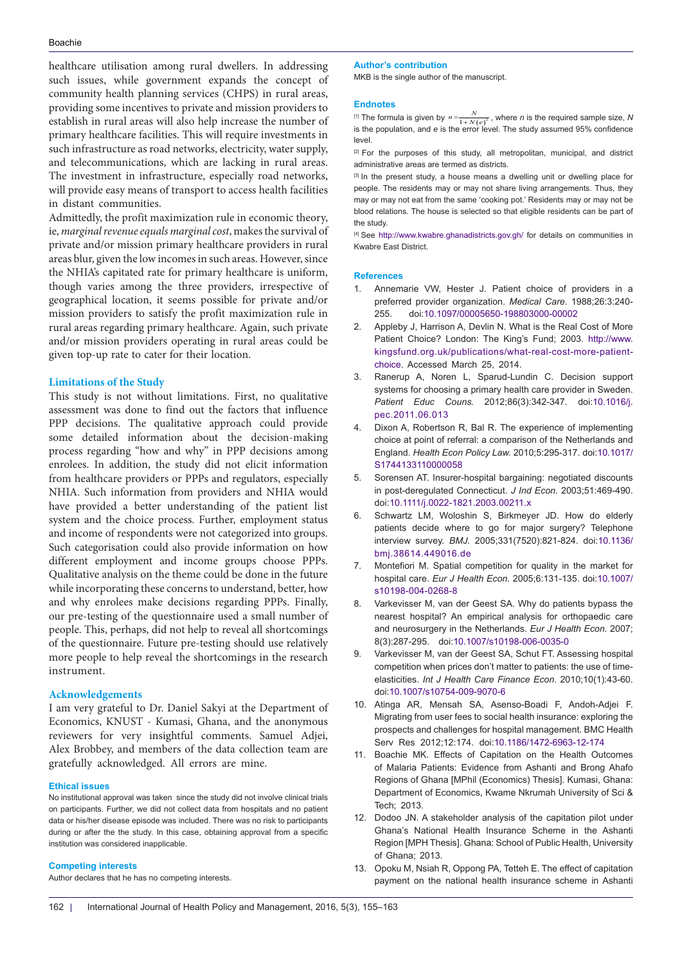#### Boachie

healthcare utilisation among rural dwellers. In addressing such issues, while government expands the concept of community health planning services (CHPS) in rural areas, providing some incentives to private and mission providers to establish in rural areas will also help increase the number of primary healthcare facilities. This will require investments in such infrastructure as road networks, electricity, water supply, and telecommunications, which are lacking in rural areas. The investment in infrastructure, especially road networks, will provide easy means of transport to access health facilities in distant communities.

Admittedly, the profit maximization rule in economic theory, ie, *marginal revenue equals marginal cost*, makes the survival of private and/or mission primary healthcare providers in rural areas blur, given the low incomes in such areas. However, since the NHIA's capitated rate for primary healthcare is uniform, though varies among the three providers, irrespective of geographical location, it seems possible for private and/or mission providers to satisfy the profit maximization rule in rural areas regarding primary healthcare. Again, such private and/or mission providers operating in rural areas could be given top-up rate to cater for their location.

### **Limitations of the Study**

This study is not without limitations. First, no qualitative assessment was done to find out the factors that influence PPP decisions. The qualitative approach could provide some detailed information about the decision-making process regarding ''how and why'' in PPP decisions among enrolees. In addition, the study did not elicit information from healthcare providers or PPPs and regulators, especially NHIA. Such information from providers and NHIA would have provided a better understanding of the patient list system and the choice process. Further, employment status and income of respondents were not categorized into groups. Such categorisation could also provide information on how different employment and income groups choose PPPs. Qualitative analysis on the theme could be done in the future while incorporating these concerns to understand, better, how and why enrolees make decisions regarding PPPs. Finally, our pre-testing of the questionnaire used a small number of people. This, perhaps, did not help to reveal all shortcomings of the questionnaire. Future pre-testing should use relatively more people to help reveal the shortcomings in the research instrument.

### **Acknowledgements**

I am very grateful to Dr. Daniel Sakyi at the Department of Economics, KNUST - Kumasi, Ghana, and the anonymous reviewers for very insightful comments. Samuel Adjei, Alex Brobbey, and members of the data collection team are gratefully acknowledged. All errors are mine.

#### **Ethical issues**

No institutional approval was taken since the study did not involve clinical trials on participants. Further, we did not collect data from hospitals and no patient data or his/her disease episode was included. There was no risk to participants during or after the the study. In this case, obtaining approval from a specific institution was considered inapplicable.

#### **Competing interests**

Author declares that he has no competing interests.

#### **Author's contribution**

MKB is the single author of the manuscript.

#### **Endnotes**

<span id="page-7-9"></span><sup>[1]</sup> The formula is given by  $n = \frac{N}{1 + N(e)^2}$ , where *n* is the required sample size, *N* is the population, and *e* is the error level. The study assumed 95% confidence level.

<span id="page-7-10"></span><sup>[2]</sup> For the purposes of this study, all metropolitan, municipal, and district administrative areas are termed as districts.

<span id="page-7-11"></span>[3] In the present study, a house means a dwelling unit or dwelling place for people. The residents may or may not share living arrangements. Thus, they may or may not eat from the same 'cooking pot.' Residents may or may not be blood relations. The house is selected so that eligible residents can be part of the study.

<span id="page-7-12"></span>[4] See <http://www.kwabre.ghanadistricts.gov.gh/>for details on communities in Kwabre East District.

#### **References**

- <span id="page-7-0"></span>1. Annemarie VW, Hester J. Patient choice of providers in a preferred provider organization. *Medical Care*. 1988;26:3:240- 255. doi[:10.1097/00005650-198803000-00002](http://dx.doi.org/10.1097/00005650-198803000-00002 )
- <span id="page-7-1"></span>2. Appleby J, Harrison A, Devlin N. What is the Real Cost of More Patient Choice? London: The King's Fund; 2003. [http://www.](http://www.kingsfund.org.uk/publications/what-real-cost-more-patient-choice ) [kingsfund.org.uk/publications/what-real-cost-more-patient](http://www.kingsfund.org.uk/publications/what-real-cost-more-patient-choice )[choice](http://www.kingsfund.org.uk/publications/what-real-cost-more-patient-choice ). Accessed March 25, 2014.
- <span id="page-7-2"></span>3. Ranerup A, Noren L, Sparud-Lundin C. Decision support systems for choosing a primary health care provider in Sweden. *Patient Educ Couns.* 2012;86(3):342-347*.* doi:[10.1016/j.](http://dx.doi.org/10.1016/j.pec.2011.06.013) [pec.2011.06.013](http://dx.doi.org/10.1016/j.pec.2011.06.013)
- Dixon A, Robertson R, Bal R. The experience of implementing choice at point of referral: a comparison of the Netherlands and England. *Health Econ Policy Law.* 2010;5:295-317. doi:[10.1017/](http://dx.doi.org/10.1017/S1744133110000058) [S1744133110000058](http://dx.doi.org/10.1017/S1744133110000058)
- <span id="page-7-3"></span>5. Sorensen AT. Insurer-hospital bargaining: negotiated discounts in post-deregulated Connecticut. *J Ind Econ.* 2003;51:469-490. doi[:10.1111/j.0022-1821.2003.00211.x](http://dx.doi.org/10.1111/j.0022-1821.2003.00211.x)
- <span id="page-7-4"></span>6. Schwartz LM, Woloshin S, Birkmeyer JD. How do elderly patients decide where to go for major surgery? Telephone interview survey. *BMJ.* 2005;331(7520):821-824. doi[:10.1136/](http://dx.doi.org/10.1136/bmj.38614.449016.de) [bmj.38614.449016.de](http://dx.doi.org/10.1136/bmj.38614.449016.de)
- <span id="page-7-13"></span>7. Montefiori M. Spatial competition for quality in the market for hospital care. *Eur J Health Econ.* 2005;6:131-135. doi:[10.1007/](http://dx.doi.org/10.1007/s10198-004-0268-8) [s10198-004-0268-8](http://dx.doi.org/10.1007/s10198-004-0268-8)
- <span id="page-7-8"></span>8. Varkevisser M, van der Geest SA. Why do patients bypass the nearest hospital? An empirical analysis for orthopaedic care and neurosurgery in the Netherlands. *Eur J Health Econ.* 2007; 8(3):287-295. doi:[10.1007/s10198-006-0035-0](http://dx.doi.org/10.1007/s10198-006-0035-0)
- <span id="page-7-5"></span>9. Varkevisser M, van der Geest SA, Schut FT. Assessing hospital competition when prices don't matter to patients: the use of timeelasticities. *Int J Health Care Finance Econ.* 2010;10(1):43-60. doi:[10.1007/s10754-009-9070-6](http://dx.doi.org/10.1007/s10754-009-9070-6)
- <span id="page-7-6"></span>10. Atinga AR, Mensah SA, Asenso-Boadi F, Andoh-Adjei F. Migrating from user fees to social health insurance: exploring the prospects and challenges for hospital management. BMC Health Serv Res 2012;12:174. doi[:10.1186/1472-6963-12-174](http://dx.doi.org/10.1186/1472-6963-12-174)
- <span id="page-7-7"></span>11. Boachie MK. Effects of Capitation on the Health Outcomes of Malaria Patients: Evidence from Ashanti and Brong Ahafo Regions of Ghana [MPhil (Economics) Thesis]. Kumasi, Ghana: Department of Economics, Kwame Nkrumah University of Sci & Tech; 2013.
- 12. Dodoo JN. A stakeholder analysis of the capitation pilot under Ghana's National Health Insurance Scheme in the Ashanti Region [MPH Thesis]. Ghana: School of Public Health, University of Ghana; 2013.
- 13. Opoku M, Nsiah R, Oppong PA, Tetteh E. The effect of capitation payment on the national health insurance scheme in Ashanti